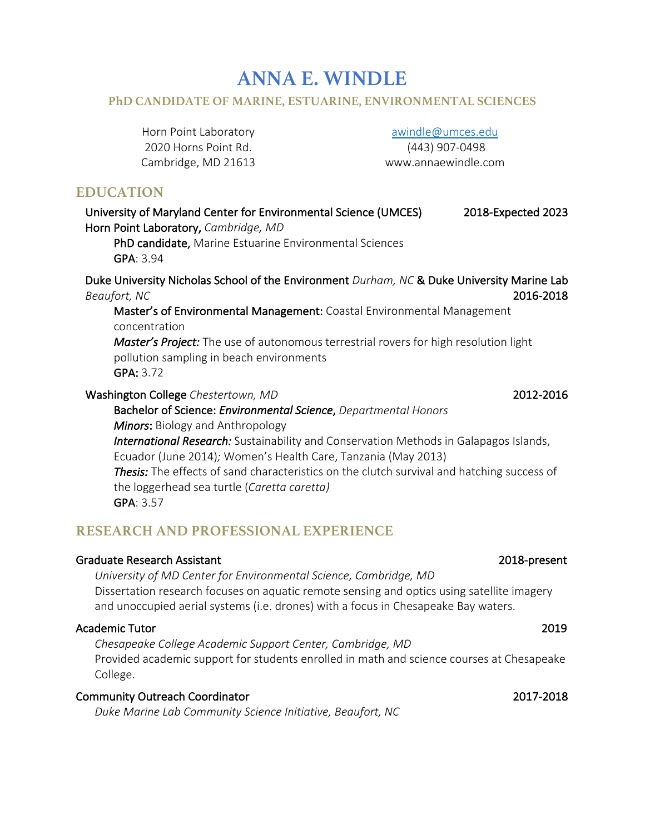# **ANNA E. WINDLE**

#### **PhD CANDIDATE OF MARINE, ESTUARINE, ENVIRONMENTAL SCIENCES**

Horn Point Laboratory 2020 Horns Point Rd. Cambridge, MD 21613

#### awindle@umces.edu

(443) 907-0498 www.annaewindle.com

### **EDUCATION**

University of Maryland Center for Environmental Science (UMCES) 2018-Expected 2023 Horn Point Laboratory, *Cambridge, MD*

PhD candidate, Marine Estuarine Environmental Sciences GPA: 3.94

Duke University Nicholas School of the Environment *Durham, NC* & Duke University Marine Lab *Beaufort, NC* 2016-2018

Master's of Environmental Management: Coastal Environmental Management concentration

*Master's Project:* The use of autonomous terrestrial rovers for high resolution light pollution sampling in beach environments GPA: 3.72

Washington College *Chestertown, MD* 2012-2016

Bachelor of Science: *Environmental Science*, *Departmental Honors Minors*: Biology and Anthropology *International Research:* Sustainability and Conservation Methods in Galapagos Islands, Ecuador (June 2014)*;* Women's Health Care, Tanzania (May 2013) *Thesis:* The effects of sand characteristics on the clutch survival and hatching success of the loggerhead sea turtle (*Caretta caretta)* GPA: 3.57

## **RESEARCH AND PROFESSIONAL EXPERIENCE**

#### Graduate Research Assistant 2018-present

*University of MD Center for Environmental Science, Cambridge, MD* Dissertation research focuses on aquatic remote sensing and optics using satellite imagery and unoccupied aerial systems (i.e. drones) with a focus in Chesapeake Bay waters.

#### Academic Tutor 2019

*Chesapeake College Academic Support Center, Cambridge, MD*  Provided academic support for students enrolled in math and science courses at Chesapeake College.

#### Community Outreach Coordinator 2017-2018

*Duke Marine Lab Community Science Initiative, Beaufort, NC*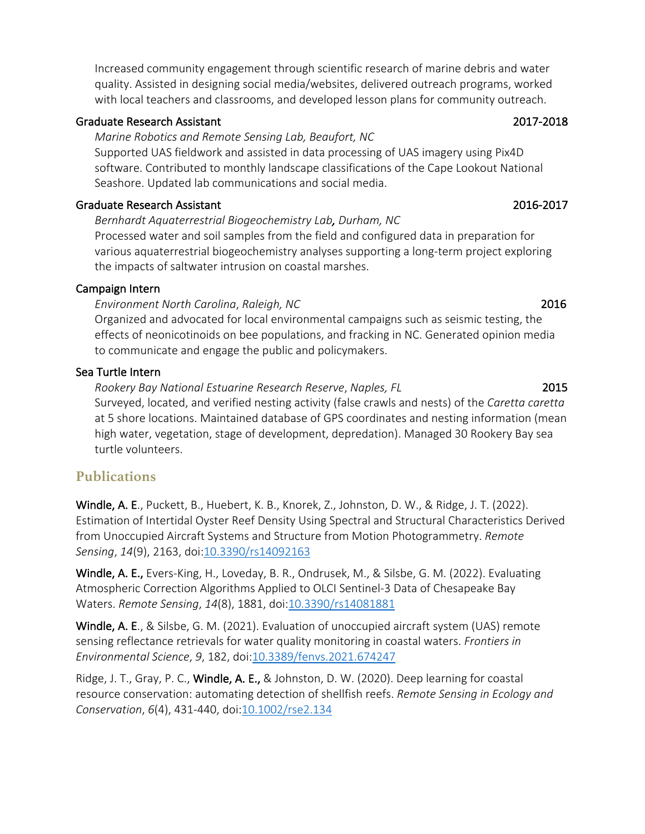Increased community engagement through scientific research of marine debris and water quality. Assisted in designing social media/websites, delivered outreach programs, worked with local teachers and classrooms, and developed lesson plans for community outreach.

#### Graduate Research Assistant 2017-2018

#### *Marine Robotics and Remote Sensing Lab, Beaufort, NC*

Supported UAS fieldwork and assisted in data processing of UAS imagery using Pix4D software. Contributed to monthly landscape classifications of the Cape Lookout National Seashore. Updated lab communications and social media.

### Graduate Research Assistant 2016-2017

*Bernhardt Aquaterrestrial Biogeochemistry Lab, Durham, NC* Processed water and soil samples from the field and configured data in preparation for various aquaterrestrial biogeochemistry analyses supporting a long-term project exploring the impacts of saltwater intrusion on coastal marshes.

### Campaign Intern

*Environment North Carolina*, *Raleigh, NC* 2016

Organized and advocated for local environmental campaigns such as seismic testing, the effects of neonicotinoids on bee populations, and fracking in NC. Generated opinion media to communicate and engage the public and policymakers.

### Sea Turtle Intern

 *Rookery Bay National Estuarine Research Reserve*, *Naples, FL* 2015 Surveyed, located, and verified nesting activity (false crawls and nests) of the *Caretta caretta* at 5 shore locations. Maintained database of GPS coordinates and nesting information (mean high water, vegetation, stage of development, depredation). Managed 30 Rookery Bay sea turtle volunteers.

## **Publications**

Windle, A. E., Puckett, B., Huebert, K. B., Knorek, Z., Johnston, D. W., & Ridge, J. T. (2022). Estimation of Intertidal Oyster Reef Density Using Spectral and Structural Characteristics Derived from Unoccupied Aircraft Systems and Structure from Motion Photogrammetry. *Remote Sensing*, *<sup>14</sup>*(9), 2163, doi:10.3390/rs14092163

Windle, A. E., Evers-King, H., Loveday, B. R., Ondrusek, M., & Silsbe, G. M. (2022). Evaluating Atmospheric Correction Algorithms Applied to OLCI Sentinel-3 Data of Chesapeake Bay Waters. *Remote Sensing*, *<sup>14</sup>*(8), 1881, doi:10.3390/rs14081881

Windle, A. E., & Silsbe, G. M. (2021). Evaluation of unoccupied aircraft system (UAS) remote sensing reflectance retrievals for water quality monitoring in coastal waters. *Frontiers in Environmental Science*, *9*, 182, doi:10.3389/fenvs.2021.674247

Ridge, J. T., Gray, P. C., Windle, A. E., & Johnston, D. W. (2020). Deep learning for coastal resource conservation: automating detection of shellfish reefs. *Remote Sensing in Ecology and Conservation*, *6*(4), 431-440, doi:10.1002/rse2.134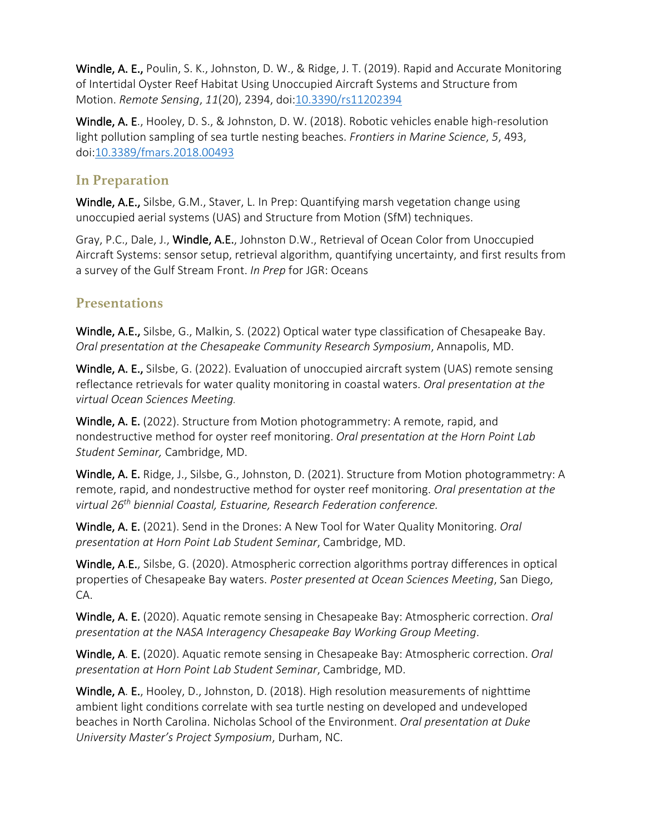Windle, A. E., Poulin, S. K., Johnston, D. W., & Ridge, J. T. (2019). Rapid and Accurate Monitoring of Intertidal Oyster Reef Habitat Using Unoccupied Aircraft Systems and Structure from Motion. *Remote Sensing*, *<sup>11</sup>*(20), 2394, doi:10.3390/rs11202394

Windle, A. E., Hooley, D. S., & Johnston, D. W. (2018). Robotic vehicles enable high-resolution light pollution sampling of sea turtle nesting beaches. *Frontiers in Marine Science*, *5*, 493, doi:10.3389/fmars.2018.00493

## **In Preparation**

Windle, A.E., Silsbe, G.M., Staver, L. In Prep: Quantifying marsh vegetation change using unoccupied aerial systems (UAS) and Structure from Motion (SfM) techniques.

Gray, P.C., Dale, J., Windle, A.E., Johnston D.W., Retrieval of Ocean Color from Unoccupied Aircraft Systems: sensor setup, retrieval algorithm, quantifying uncertainty, and first results from a survey of the Gulf Stream Front. *In Prep* for JGR: Oceans

## **Presentations**

Windle, A.E., Silsbe, G., Malkin, S. (2022) Optical water type classification of Chesapeake Bay. *Oral presentation at the Chesapeake Community Research Symposium*, Annapolis, MD.

Windle, A. E., Silsbe, G. (2022). Evaluation of unoccupied aircraft system (UAS) remote sensing reflectance retrievals for water quality monitoring in coastal waters. *Oral presentation at the virtual Ocean Sciences Meeting.* 

Windle, A. E. (2022). Structure from Motion photogrammetry: A remote, rapid, and nondestructive method for oyster reef monitoring. *Oral presentation at the Horn Point Lab Student Seminar,* Cambridge, MD.

Windle, A. E. Ridge, J., Silsbe, G., Johnston, D. (2021). Structure from Motion photogrammetry: A remote, rapid, and nondestructive method for oyster reef monitoring. *Oral presentation at the virtual 26th biennial Coastal, Estuarine, Research Federation conference.* 

Windle, A. E. (2021). Send in the Drones: A New Tool for Water Quality Monitoring. *Oral presentation at Horn Point Lab Student Seminar*, Cambridge, MD.

Windle, A.E., Silsbe, G. (2020). Atmospheric correction algorithms portray differences in optical properties of Chesapeake Bay waters. *Poster presented at Ocean Sciences Meeting*, San Diego, CA.

Windle, A. E. (2020). Aquatic remote sensing in Chesapeake Bay: Atmospheric correction. *Oral presentation at the NASA Interagency Chesapeake Bay Working Group Meeting*.

Windle, A. E. (2020). Aquatic remote sensing in Chesapeake Bay: Atmospheric correction. *Oral presentation at Horn Point Lab Student Seminar*, Cambridge, MD.

Windle, A. E., Hooley, D., Johnston, D. (2018). High resolution measurements of nighttime ambient light conditions correlate with sea turtle nesting on developed and undeveloped beaches in North Carolina. Nicholas School of the Environment. *Oral presentation at Duke University Master's Project Symposium*, Durham, NC.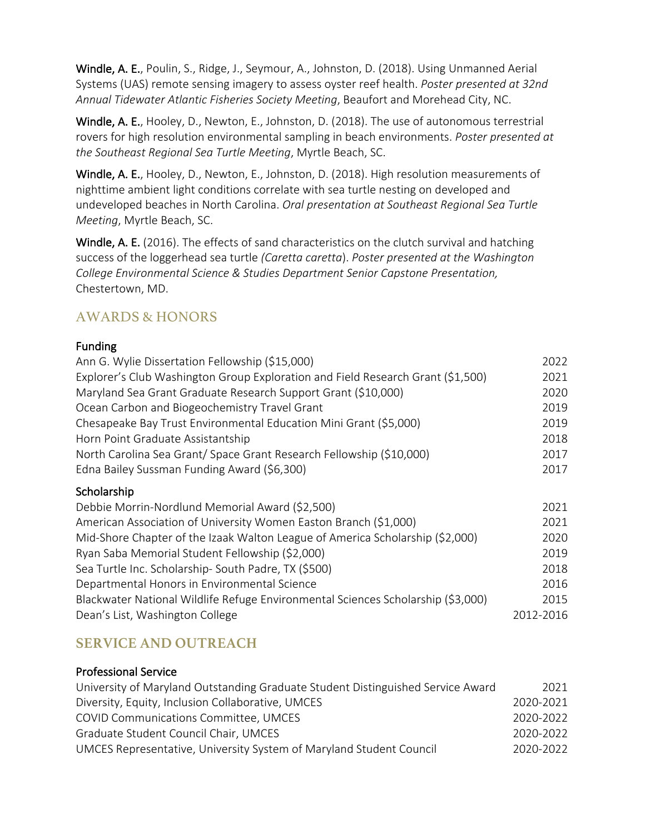Windle, A. E., Poulin, S., Ridge, J., Seymour, A., Johnston, D. (2018). Using Unmanned Aerial Systems (UAS) remote sensing imagery to assess oyster reef health. *Poster presented at 32nd Annual Tidewater Atlantic Fisheries Society Meeting*, Beaufort and Morehead City, NC.

Windle, A. E., Hooley, D., Newton, E., Johnston, D. (2018). The use of autonomous terrestrial rovers for high resolution environmental sampling in beach environments. *Poster presented at the Southeast Regional Sea Turtle Meeting*, Myrtle Beach, SC.

Windle, A. E., Hooley, D., Newton, E., Johnston, D. (2018). High resolution measurements of nighttime ambient light conditions correlate with sea turtle nesting on developed and undeveloped beaches in North Carolina. *Oral presentation at Southeast Regional Sea Turtle Meeting*, Myrtle Beach, SC.

Windle, A. E. (2016). The effects of sand characteristics on the clutch survival and hatching success of the loggerhead sea turtle *(Caretta caretta*). *Poster presented at the Washington College Environmental Science & Studies Department Senior Capstone Presentation,*  Chestertown, MD.

## AWARDS & HONORS

### Funding

| Ann G. Wylie Dissertation Fellowship (\$15,000)                                  | 2022 |
|----------------------------------------------------------------------------------|------|
| Explorer's Club Washington Group Exploration and Field Research Grant (\$1,500)  | 2021 |
| Maryland Sea Grant Graduate Research Support Grant (\$10,000)                    | 2020 |
| Ocean Carbon and Biogeochemistry Travel Grant                                    | 2019 |
| Chesapeake Bay Trust Environmental Education Mini Grant (\$5,000)                | 2019 |
| Horn Point Graduate Assistantship                                                | 2018 |
| North Carolina Sea Grant/ Space Grant Research Fellowship (\$10,000)             | 2017 |
| Edna Bailey Sussman Funding Award (\$6,300)                                      | 2017 |
| Scholarship                                                                      |      |
| Debbie Morrin-Nordlund Memorial Award (\$2,500)                                  | 2021 |
| American Association of University Women Easton Branch (\$1,000)                 | 2021 |
| Mid-Shore Chapter of the Izaak Walton League of America Scholarship (\$2,000)    | 2020 |
| Ryan Saba Memorial Student Fellowship (\$2,000)                                  | 2019 |
| Sea Turtle Inc. Scholarship- South Padre, TX (\$500)                             | 2018 |
| Departmental Honors in Environmental Science                                     | 2016 |
| Blackwater National Wildlife Refuge Environmental Sciences Scholarship (\$3,000) | 2015 |

## **SERVICE AND OUTREACH**

### Professional Service

| University of Maryland Outstanding Graduate Student Distinguished Service Award | 2021      |
|---------------------------------------------------------------------------------|-----------|
| Diversity, Equity, Inclusion Collaborative, UMCES                               | 2020-2021 |
| COVID Communications Committee, UMCES                                           | 2020-2022 |
| Graduate Student Council Chair, UMCES                                           | 2020-2022 |
| UMCES Representative, University System of Maryland Student Council             | 2020-2022 |

Dean's List, Washington College 2012-2016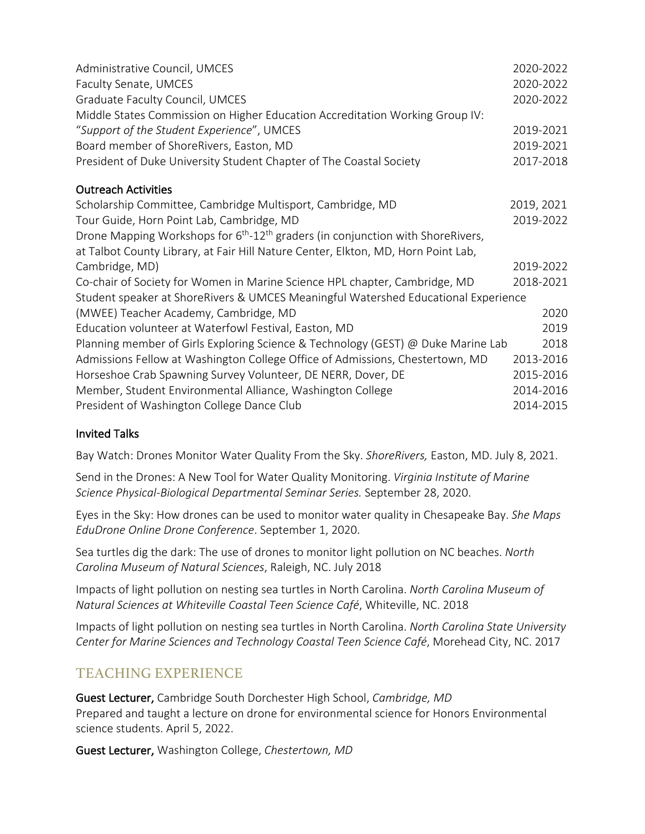| Administrative Council, UMCES                                                                           | 2020-2022  |
|---------------------------------------------------------------------------------------------------------|------------|
| Faculty Senate, UMCES                                                                                   | 2020-2022  |
| Graduate Faculty Council, UMCES                                                                         | 2020-2022  |
| Middle States Commission on Higher Education Accreditation Working Group IV:                            |            |
| "Support of the Student Experience", UMCES                                                              | 2019-2021  |
| Board member of ShoreRivers, Easton, MD                                                                 | 2019-2021  |
| President of Duke University Student Chapter of The Coastal Society                                     | 2017-2018  |
| <b>Outreach Activities</b>                                                                              |            |
| Scholarship Committee, Cambridge Multisport, Cambridge, MD                                              | 2019, 2021 |
| Tour Guide, Horn Point Lab, Cambridge, MD                                                               | 2019-2022  |
| Drone Mapping Workshops for 6 <sup>th</sup> -12 <sup>th</sup> graders (in conjunction with ShoreRivers, |            |
| at Talbot County Library, at Fair Hill Nature Center, Elkton, MD, Horn Point Lab,                       |            |
| Cambridge, MD)                                                                                          | 2019-2022  |
| Co-chair of Society for Women in Marine Science HPL chapter, Cambridge, MD                              | 2018-2021  |
| Student speaker at ShoreRivers & UMCES Meaningful Watershed Educational Experience                      |            |
| (MWEE) Teacher Academy, Cambridge, MD                                                                   | 2020       |
| Education volunteer at Waterfowl Festival, Easton, MD                                                   | 2019       |
| Planning member of Girls Exploring Science & Technology (GEST) @ Duke Marine Lab                        | 2018       |
| Admissions Fellow at Washington College Office of Admissions, Chestertown, MD                           | 2013-2016  |
| Horseshoe Crab Spawning Survey Volunteer, DE NERR, Dover, DE                                            | 2015-2016  |
| Member, Student Environmental Alliance, Washington College                                              | 2014-2016  |
| President of Washington College Dance Club                                                              | 2014-2015  |

### Invited Talks

Bay Watch: Drones Monitor Water Quality From the Sky. *ShoreRivers,* Easton, MD. July 8, 2021.

Send in the Drones: A New Tool for Water Quality Monitoring. *Virginia Institute of Marine Science Physical-Biological Departmental Seminar Series.* September 28, 2020.

Eyes in the Sky: How drones can be used to monitor water quality in Chesapeake Bay. *She Maps EduDrone Online Drone Conference*. September 1, 2020.

Sea turtles dig the dark: The use of drones to monitor light pollution on NC beaches. *North Carolina Museum of Natural Sciences*, Raleigh, NC. July 2018

Impacts of light pollution on nesting sea turtles in North Carolina. *North Carolina Museum of Natural Sciences at Whiteville Coastal Teen Science Café*, Whiteville, NC. 2018

Impacts of light pollution on nesting sea turtles in North Carolina. *North Carolina State University Center for Marine Sciences and Technology Coastal Teen Science Café*, Morehead City, NC. 2017

## TEACHING EXPERIENCE

Guest Lecturer, Cambridge South Dorchester High School, *Cambridge, MD* Prepared and taught a lecture on drone for environmental science for Honors Environmental science students. April 5, 2022.

Guest Lecturer, Washington College, *Chestertown, MD*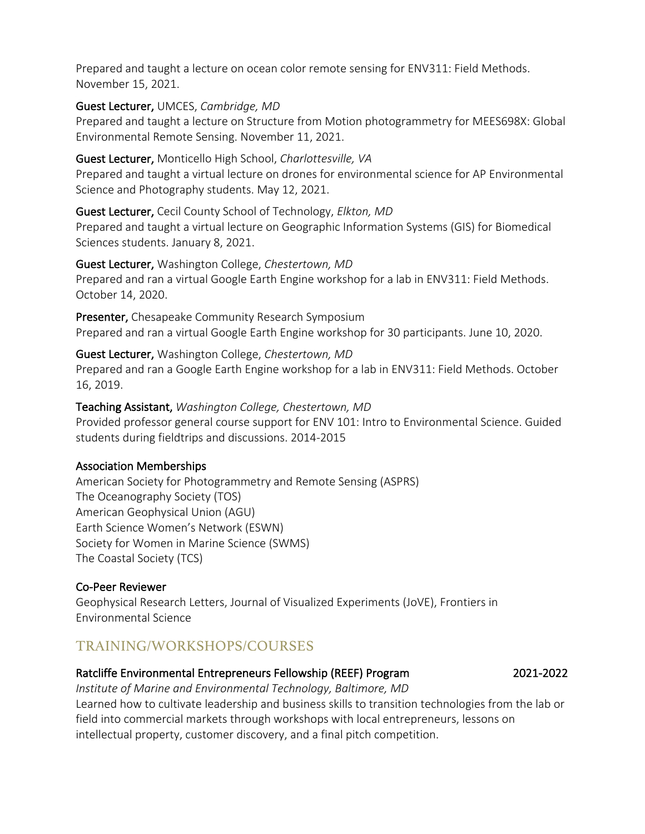Prepared and taught a lecture on ocean color remote sensing for ENV311: Field Methods. November 15, 2021.

Guest Lecturer, UMCES, *Cambridge, MD* 

Prepared and taught a lecture on Structure from Motion photogrammetry for MEES698X: Global Environmental Remote Sensing. November 11, 2021.

Guest Lecturer, Monticello High School, *Charlottesville, VA*

Prepared and taught a virtual lecture on drones for environmental science for AP Environmental Science and Photography students. May 12, 2021.

Guest Lecturer, Cecil County School of Technology, *Elkton, MD*

Prepared and taught a virtual lecture on Geographic Information Systems (GIS) for Biomedical Sciences students. January 8, 2021.

Guest Lecturer, Washington College, *Chestertown, MD* Prepared and ran a virtual Google Earth Engine workshop for a lab in ENV311: Field Methods. October 14, 2020.

Presenter, Chesapeake Community Research Symposium Prepared and ran a virtual Google Earth Engine workshop for 30 participants. June 10, 2020.

Guest Lecturer, Washington College, *Chestertown, MD* Prepared and ran a Google Earth Engine workshop for a lab in ENV311: Field Methods. October 16, 2019.

### Teaching Assistant, *Washington College, Chestertown, MD*

Provided professor general course support for ENV 101: Intro to Environmental Science. Guided students during fieldtrips and discussions. 2014-2015

### Association Memberships

American Society for Photogrammetry and Remote Sensing (ASPRS) The Oceanography Society (TOS) American Geophysical Union (AGU) Earth Science Women's Network (ESWN) Society for Women in Marine Science (SWMS) The Coastal Society (TCS)

### Co-Peer Reviewer

Geophysical Research Letters, Journal of Visualized Experiments (JoVE), Frontiers in Environmental Science

## TRAINING/WORKSHOPS/COURSES

### Ratcliffe Environmental Entrepreneurs Fellowship (REEF) Program 2021-2022

*Institute of Marine and Environmental Technology, Baltimore, MD* Learned how to cultivate leadership and business skills to transition technologies from the lab or field into commercial markets through workshops with local entrepreneurs, lessons on intellectual property, customer discovery, and a final pitch competition.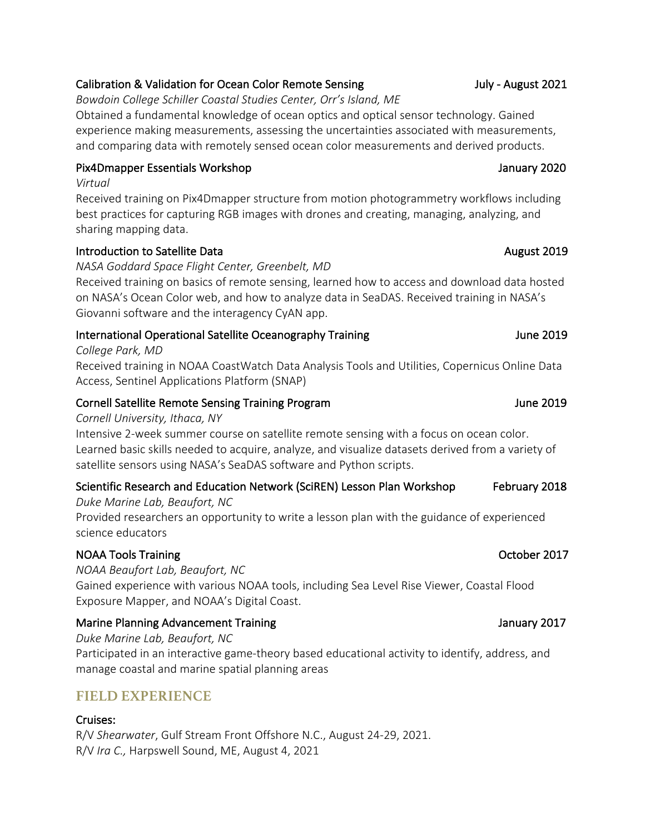## Calibration & Validation for Ocean Color Remote Sensing The Multipulary 1980 July - August 2021

*Bowdoin College Schiller Coastal Studies Center, Orr's Island, ME*

Obtained a fundamental knowledge of ocean optics and optical sensor technology. Gained experience making measurements, assessing the uncertainties associated with measurements, and comparing data with remotely sensed ocean color measurements and derived products.

## Pix4Dmapper Essentials Workshop January 2020

*Virtual*

Received training on Pix4Dmapper structure from motion photogrammetry workflows including best practices for capturing RGB images with drones and creating, managing, analyzing, and sharing mapping data.

### Introduction to Satellite Data **August 2019 August 2019**

*NASA Goddard Space Flight Center, Greenbelt, MD*

Received training on basics of remote sensing, learned how to access and download data hosted on NASA's Ocean Color web, and how to analyze data in SeaDAS. Received training in NASA's Giovanni software and the interagency CyAN app.

## International Operational Satellite Oceanography Training Tune 2019 June 2019

*College Park, MD* 

Received training in NOAA CoastWatch Data Analysis Tools and Utilities, Copernicus Online Data Access, Sentinel Applications Platform (SNAP)

## Cornell Satellite Remote Sensing Training Program June 2019 and June 2019

### *Cornell University, Ithaca, NY*

Intensive 2-week summer course on satellite remote sensing with a focus on ocean color. Learned basic skills needed to acquire, analyze, and visualize datasets derived from a variety of satellite sensors using NASA's SeaDAS software and Python scripts.

## Scientific Research and Education Network (SciREN) Lesson Plan Workshop February 2018

*Duke Marine Lab, Beaufort, NC* Provided researchers an opportunity to write a lesson plan with the guidance of experienced science educators

## NOAA Tools Training **October 2017**

*NOAA Beaufort Lab, Beaufort, NC*  Gained experience with various NOAA tools, including Sea Level Rise Viewer, Coastal Flood Exposure Mapper, and NOAA's Digital Coast.

## Marine Planning Advancement Training January 2017

*Duke Marine Lab, Beaufort, NC* Participated in an interactive game-theory based educational activity to identify, address, and manage coastal and marine spatial planning areas

## **FIELD EXPERIENCE**

## Cruises:

R/V *Shearwater*, Gulf Stream Front Offshore N.C., August 24-29, 2021. R/V *Ira C.,* Harpswell Sound, ME, August 4, 2021